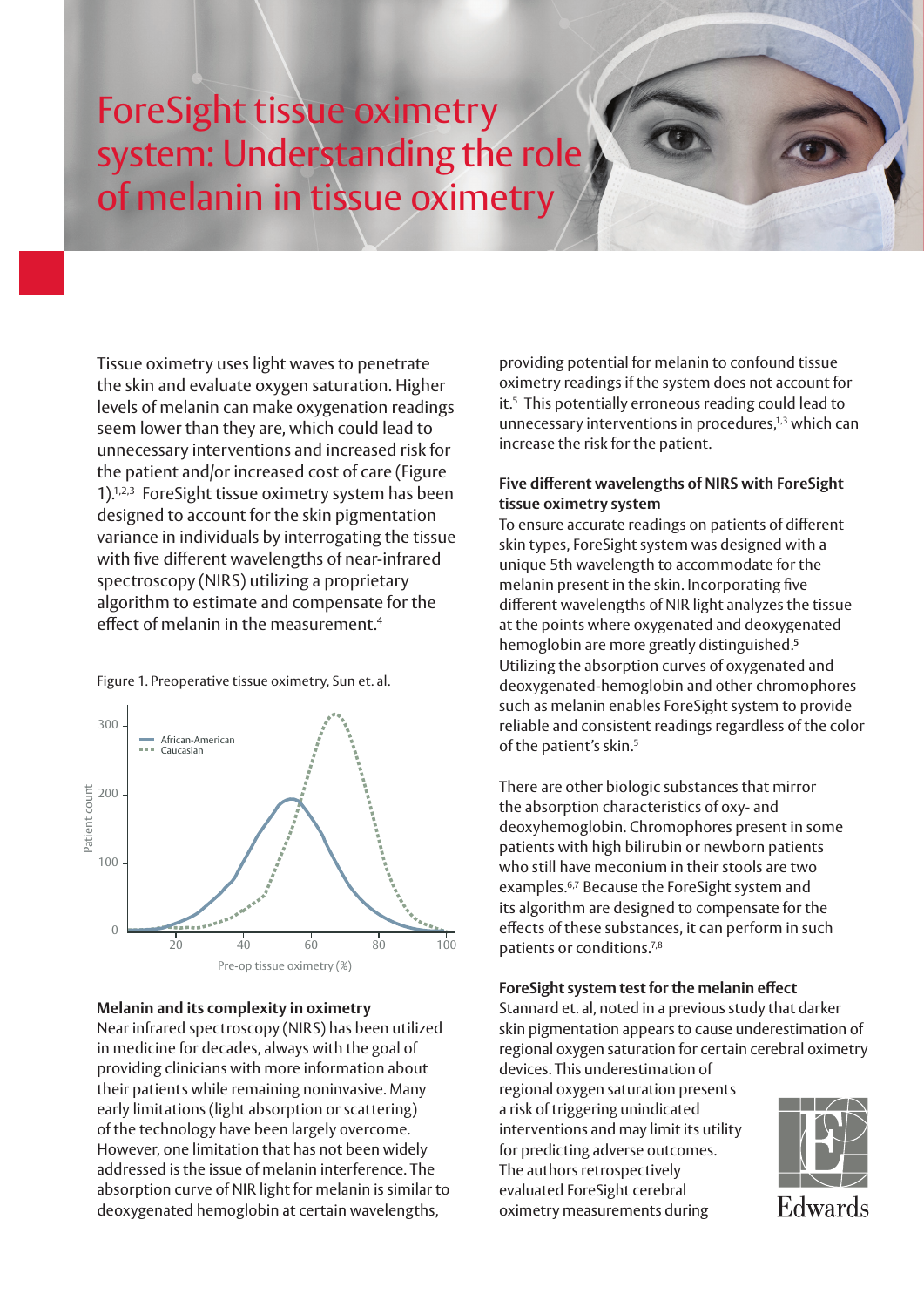# ForeSight tissue oximetry system: Understanding the role of melanin in tissue oximetry

Tissue oximetry uses light waves to penetrate the skin and evaluate oxygen saturation. Higher levels of melanin can make oxygenation readings seem lower than they are, which could lead to unnecessary interventions and increased risk for the patient and/or increased cost of care (Figure 1).1,2,3 ForeSight tissue oximetry system has been designed to account for the skin pigmentation variance in individuals by interrogating the tissue with five different wavelengths of near-infrared spectroscopy (NIRS) utilizing a proprietary algorithm to estimate and compensate for the effect of melanin in the measurement.4

Figure 1. Preoperative tissue oximetry, Sun et. al.



#### **Melanin and its complexity in oximetry**

Near infrared spectroscopy (NIRS) has been utilized in medicine for decades, always with the goal of providing clinicians with more information about their patients while remaining noninvasive. Many early limitations (light absorption or scattering) of the technology have been largely overcome. However, one limitation that has not been widely addressed is the issue of melanin interference. The absorption curve of NIR light for melanin is similar to deoxygenated hemoglobin at certain wavelengths,

providing potential for melanin to confound tissue oximetry readings if the system does not account for it.5 This potentially erroneous reading could lead to unnecessary interventions in procedures,<sup>1,3</sup> which can increase the risk for the patient.

## **Five different wavelengths of NIRS with ForeSight tissue oximetry system**

To ensure accurate readings on patients of different skin types, ForeSight system was designed with a unique 5th wavelength to accommodate for the melanin present in the skin. Incorporating five different wavelengths of NIR light analyzes the tissue at the points where oxygenated and deoxygenated hemoglobin are more greatly distinguished.<sup>5</sup> Utilizing the absorption curves of oxygenated and deoxygenated-hemoglobin and other chromophores such as melanin enables ForeSight system to provide reliable and consistent readings regardless of the color of the patient's skin.<sup>5</sup>

There are other biologic substances that mirror the absorption characteristics of oxy- and deoxyhemoglobin. Chromophores present in some patients with high bilirubin or newborn patients who still have meconium in their stools are two examples.<sup>6,7</sup> Because the ForeSight system and its algorithm are designed to compensate for the effects of these substances, it can perform in such patients or conditions.7,8

## **ForeSight system test for the melanin effect** 50

Stannard et. al, noted in a previous study that darker skin pigmentation appears to cause underestimation of regional oxygen saturation for certain cerebral oximetry devices. This underestimation of

regional oxygen saturation presents a risk of triggering unindicated interventions and may limit its utility for predicting adverse outcomes. The authors retrospectively  $\begin{array}{ccc} \hline \multicolumn{1}{c} \multicolumn{1}{c} \multicolumn{1}{c} \multicolumn{1}{c} \multicolumn{1}{c} \multicolumn{1}{c} \multicolumn{1}{c} \multicolumn{1}{c} \multicolumn{1}{c} \multicolumn{1}{c} \multicolumn{1}{c} \multicolumn{1}{c} \multicolumn{1}{c} \multicolumn{1}{c} \multicolumn{1}{c} \multicolumn{1}{c} \multicolumn{1}{c} \multicolumn{1}{c} \multicolumn{1}{c} \multicolumn{1}{c} \mult$ evaluated ForeSight cerebral oximetry measurements during Indian/South Asian Other race aucu <sub>L</sub>oresi